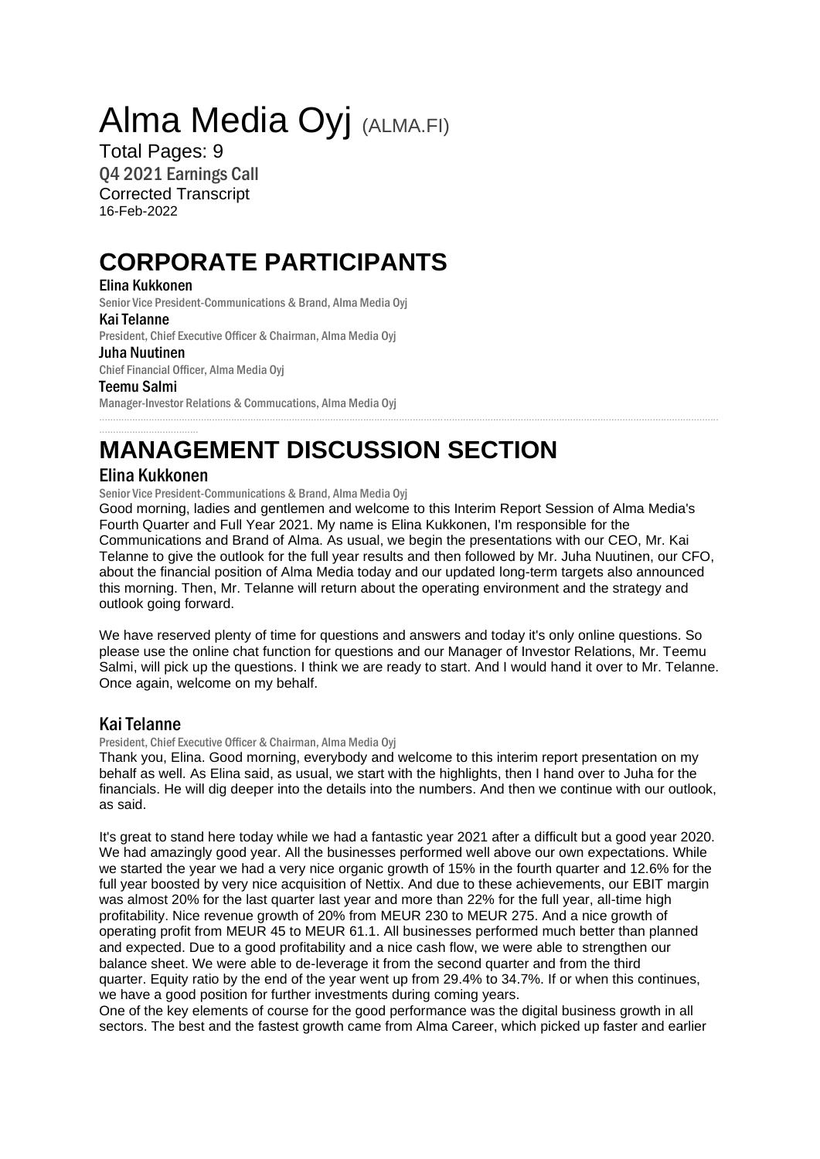# Alma Media Oyj (ALMA.FI)

Total Pages: 9 Q4 2021 Earnings Call Corrected Transcript 16-Feb-2022

# **CORPORATE PARTICIPANTS**

# Elina Kukkonen

Senior Vice President-Communications & Brand, Alma Media Oyj

#### Kai Telanne

President, Chief Executive Officer & Chairman, Alma Media Oyj

# Juha Nuutinen

Chief Financial Officer, Alma Media Oyj

#### Teemu Salmi

Manager-Investor Relations & Commucations, Alma Media Oyj

# .................................... **MANAGEMENT DISCUSSION SECTION**

# Elina Kukkonen

Senior Vice President-Communications & Brand, Alma Media Oyj

Good morning, ladies and gentlemen and welcome to this Interim Report Session of Alma Media's Fourth Quarter and Full Year 2021. My name is Elina Kukkonen, I'm responsible for the Communications and Brand of Alma. As usual, we begin the presentations with our CEO, Mr. Kai Telanne to give the outlook for the full year results and then followed by Mr. Juha Nuutinen, our CFO, about the financial position of Alma Media today and our updated long-term targets also announced this morning. Then, Mr. Telanne will return about the operating environment and the strategy and outlook going forward.

.................................................................................................................................................................................................................................

We have reserved plenty of time for questions and answers and today it's only online questions. So please use the online chat function for questions and our Manager of Investor Relations, Mr. Teemu Salmi, will pick up the questions. I think we are ready to start. And I would hand it over to Mr. Telanne. Once again, welcome on my behalf.

# Kai Telanne

President, Chief Executive Officer & Chairman, Alma Media Oyj

Thank you, Elina. Good morning, everybody and welcome to this interim report presentation on my behalf as well. As Elina said, as usual, we start with the highlights, then I hand over to Juha for the financials. He will dig deeper into the details into the numbers. And then we continue with our outlook, as said.

It's great to stand here today while we had a fantastic year 2021 after a difficult but a good year 2020. We had amazingly good year. All the businesses performed well above our own expectations. While we started the year we had a very nice organic growth of 15% in the fourth quarter and 12.6% for the full year boosted by very nice acquisition of Nettix. And due to these achievements, our EBIT margin was almost 20% for the last quarter last year and more than 22% for the full year, all-time high profitability. Nice revenue growth of 20% from MEUR 230 to MEUR 275. And a nice growth of operating profit from MEUR 45 to MEUR 61.1. All businesses performed much better than planned and expected. Due to a good profitability and a nice cash flow, we were able to strengthen our balance sheet. We were able to de-leverage it from the second quarter and from the third quarter. Equity ratio by the end of the year went up from 29.4% to 34.7%. If or when this continues, we have a good position for further investments during coming years.

One of the key elements of course for the good performance was the digital business growth in all sectors. The best and the fastest growth came from Alma Career, which picked up faster and earlier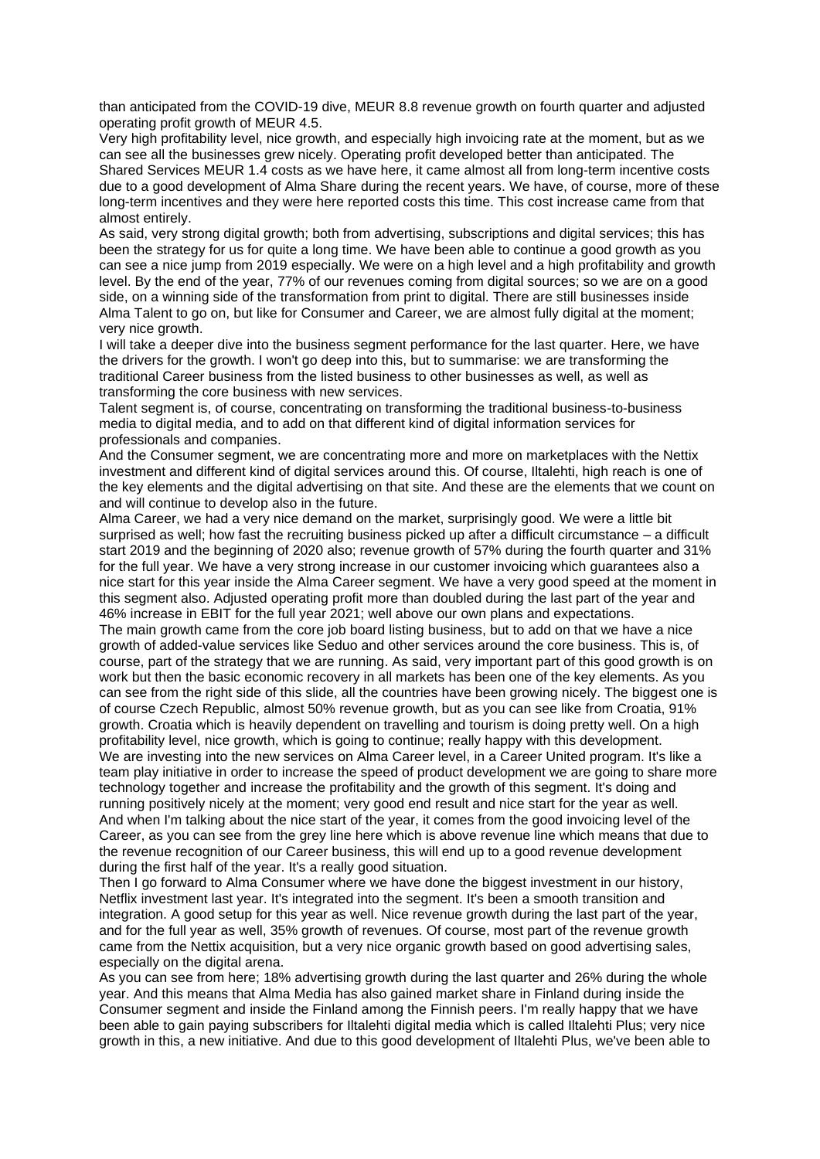than anticipated from the COVID-19 dive, MEUR 8.8 revenue growth on fourth quarter and adjusted operating profit growth of MEUR 4.5.

Very high profitability level, nice growth, and especially high invoicing rate at the moment, but as we can see all the businesses grew nicely. Operating profit developed better than anticipated. The Shared Services MEUR 1.4 costs as we have here, it came almost all from long-term incentive costs due to a good development of Alma Share during the recent years. We have, of course, more of these long-term incentives and they were here reported costs this time. This cost increase came from that almost entirely.

As said, very strong digital growth; both from advertising, subscriptions and digital services; this has been the strategy for us for quite a long time. We have been able to continue a good growth as you can see a nice jump from 2019 especially. We were on a high level and a high profitability and growth level. By the end of the year, 77% of our revenues coming from digital sources; so we are on a good side, on a winning side of the transformation from print to digital. There are still businesses inside Alma Talent to go on, but like for Consumer and Career, we are almost fully digital at the moment; very nice growth.

I will take a deeper dive into the business segment performance for the last quarter. Here, we have the drivers for the growth. I won't go deep into this, but to summarise: we are transforming the traditional Career business from the listed business to other businesses as well, as well as transforming the core business with new services.

Talent segment is, of course, concentrating on transforming the traditional business-to-business media to digital media, and to add on that different kind of digital information services for professionals and companies.

And the Consumer segment, we are concentrating more and more on marketplaces with the Nettix investment and different kind of digital services around this. Of course, Iltalehti, high reach is one of the key elements and the digital advertising on that site. And these are the elements that we count on and will continue to develop also in the future.

Alma Career, we had a very nice demand on the market, surprisingly good. We were a little bit surprised as well; how fast the recruiting business picked up after a difficult circumstance – a difficult start 2019 and the beginning of 2020 also; revenue growth of 57% during the fourth quarter and 31% for the full year. We have a very strong increase in our customer invoicing which guarantees also a nice start for this year inside the Alma Career segment. We have a very good speed at the moment in this segment also. Adjusted operating profit more than doubled during the last part of the year and 46% increase in EBIT for the full year 2021; well above our own plans and expectations. The main growth came from the core job board listing business, but to add on that we have a nice growth of added-value services like Seduo and other services around the core business. This is, of course, part of the strategy that we are running. As said, very important part of this good growth is on work but then the basic economic recovery in all markets has been one of the key elements. As you can see from the right side of this slide, all the countries have been growing nicely. The biggest one is of course Czech Republic, almost 50% revenue growth, but as you can see like from Croatia, 91% growth. Croatia which is heavily dependent on travelling and tourism is doing pretty well. On a high profitability level, nice growth, which is going to continue; really happy with this development. We are investing into the new services on Alma Career level, in a Career United program. It's like a team play initiative in order to increase the speed of product development we are going to share more technology together and increase the profitability and the growth of this segment. It's doing and running positively nicely at the moment; very good end result and nice start for the year as well. And when I'm talking about the nice start of the year, it comes from the good invoicing level of the Career, as you can see from the grey line here which is above revenue line which means that due to the revenue recognition of our Career business, this will end up to a good revenue development during the first half of the year. It's a really good situation.

Then I go forward to Alma Consumer where we have done the biggest investment in our history, Netflix investment last year. It's integrated into the segment. It's been a smooth transition and integration. A good setup for this year as well. Nice revenue growth during the last part of the year, and for the full year as well, 35% growth of revenues. Of course, most part of the revenue growth came from the Nettix acquisition, but a very nice organic growth based on good advertising sales, especially on the digital arena.

As you can see from here; 18% advertising growth during the last quarter and 26% during the whole year. And this means that Alma Media has also gained market share in Finland during inside the Consumer segment and inside the Finland among the Finnish peers. I'm really happy that we have been able to gain paying subscribers for Iltalehti digital media which is called Iltalehti Plus; very nice growth in this, a new initiative. And due to this good development of Iltalehti Plus, we've been able to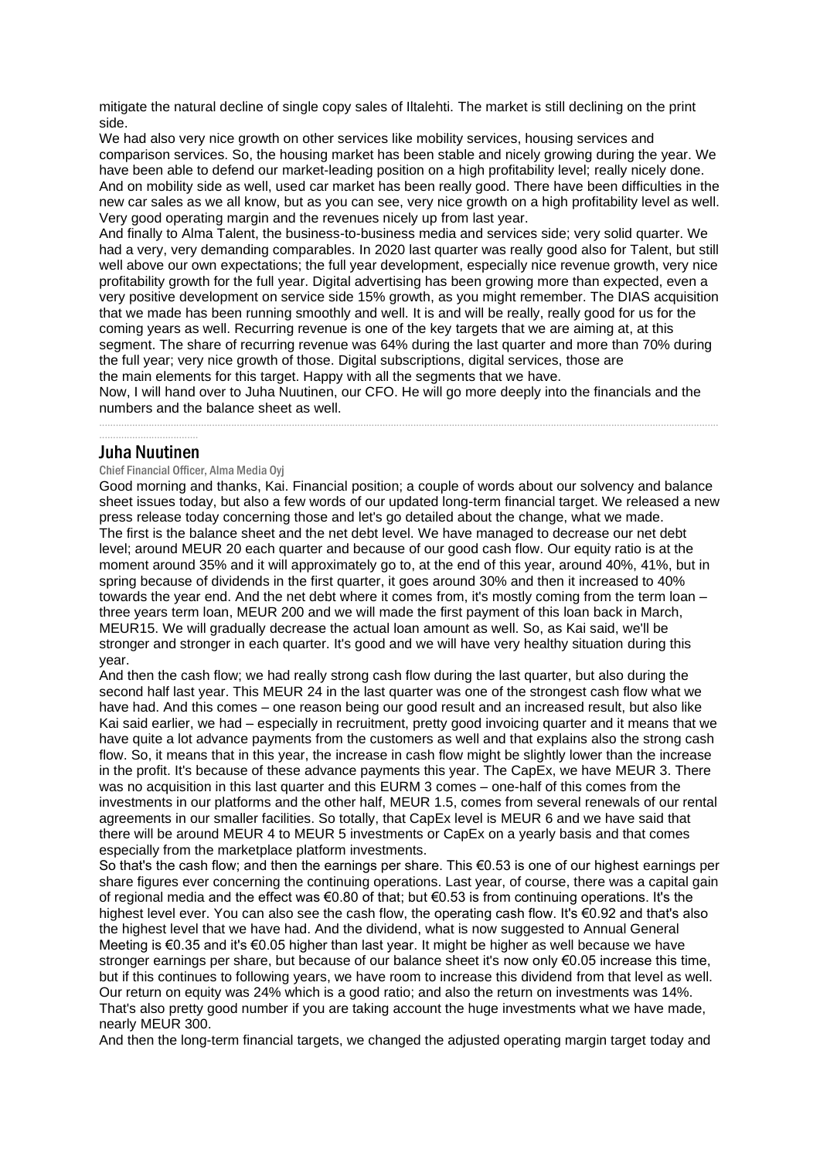mitigate the natural decline of single copy sales of Iltalehti. The market is still declining on the print side.

We had also very nice growth on other services like mobility services, housing services and comparison services. So, the housing market has been stable and nicely growing during the year. We have been able to defend our market-leading position on a high profitability level; really nicely done. And on mobility side as well, used car market has been really good. There have been difficulties in the new car sales as we all know, but as you can see, very nice growth on a high profitability level as well. Very good operating margin and the revenues nicely up from last year.

And finally to Alma Talent, the business-to-business media and services side; very solid quarter. We had a very, very demanding comparables. In 2020 last quarter was really good also for Talent, but still well above our own expectations; the full year development, especially nice revenue growth, very nice profitability growth for the full year. Digital advertising has been growing more than expected, even a very positive development on service side 15% growth, as you might remember. The DIAS acquisition that we made has been running smoothly and well. It is and will be really, really good for us for the coming years as well. Recurring revenue is one of the key targets that we are aiming at, at this segment. The share of recurring revenue was 64% during the last quarter and more than 70% during the full year; very nice growth of those. Digital subscriptions, digital services, those are the main elements for this target. Happy with all the segments that we have.

Now, I will hand over to Juha Nuutinen, our CFO. He will go more deeply into the financials and the numbers and the balance sheet as well. .................................................................................................................................................................................................................................

#### .................................... Juha Nuutinen

Chief Financial Officer, Alma Media Oyj

Good morning and thanks, Kai. Financial position; a couple of words about our solvency and balance sheet issues today, but also a few words of our updated long-term financial target. We released a new press release today concerning those and let's go detailed about the change, what we made. The first is the balance sheet and the net debt level. We have managed to decrease our net debt level; around MEUR 20 each quarter and because of our good cash flow. Our equity ratio is at the moment around 35% and it will approximately go to, at the end of this year, around 40%, 41%, but in spring because of dividends in the first quarter, it goes around 30% and then it increased to 40% towards the year end. And the net debt where it comes from, it's mostly coming from the term loan – three years term loan, MEUR 200 and we will made the first payment of this loan back in March, MEUR15. We will gradually decrease the actual loan amount as well. So, as Kai said, we'll be stronger and stronger in each quarter. It's good and we will have very healthy situation during this year.

And then the cash flow; we had really strong cash flow during the last quarter, but also during the second half last year. This MEUR 24 in the last quarter was one of the strongest cash flow what we have had. And this comes – one reason being our good result and an increased result, but also like Kai said earlier, we had – especially in recruitment, pretty good invoicing quarter and it means that we have quite a lot advance payments from the customers as well and that explains also the strong cash flow. So, it means that in this year, the increase in cash flow might be slightly lower than the increase in the profit. It's because of these advance payments this year. The CapEx, we have MEUR 3. There was no acquisition in this last quarter and this EURM 3 comes – one-half of this comes from the investments in our platforms and the other half, MEUR 1.5, comes from several renewals of our rental agreements in our smaller facilities. So totally, that CapEx level is MEUR 6 and we have said that there will be around MEUR 4 to MEUR 5 investments or CapEx on a yearly basis and that comes especially from the marketplace platform investments.

So that's the cash flow; and then the earnings per share. This €0.53 is one of our highest earnings per share figures ever concerning the continuing operations. Last year, of course, there was a capital gain of regional media and the effect was €0.80 of that; but €0.53 is from continuing operations. It's the highest level ever. You can also see the cash flow, the operating cash flow. It's €0.92 and that's also the highest level that we have had. And the dividend, what is now suggested to Annual General Meeting is €0.35 and it's €0.05 higher than last year. It might be higher as well because we have stronger earnings per share, but because of our balance sheet it's now only €0.05 increase this time, but if this continues to following years, we have room to increase this dividend from that level as well. Our return on equity was 24% which is a good ratio; and also the return on investments was 14%. That's also pretty good number if you are taking account the huge investments what we have made, nearly MEUR 300.

And then the long-term financial targets, we changed the adjusted operating margin target today and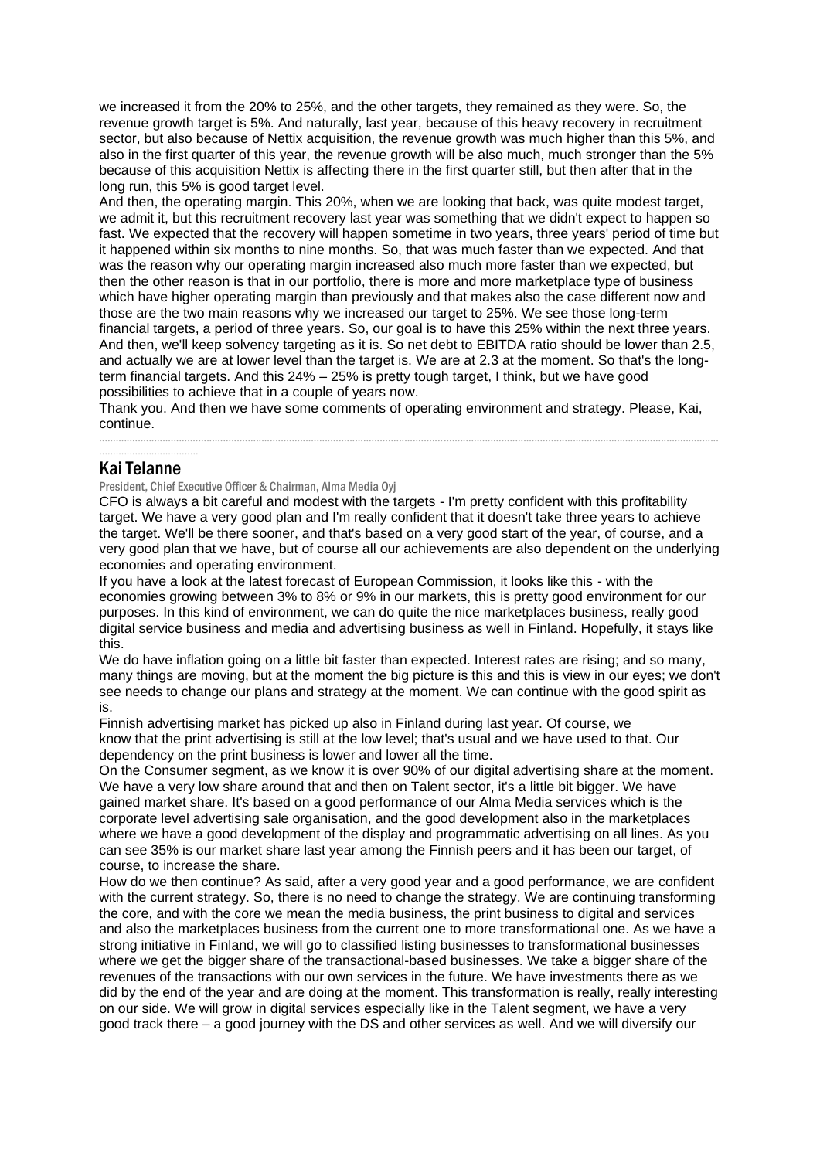we increased it from the 20% to 25%, and the other targets, they remained as they were. So, the revenue growth target is 5%. And naturally, last year, because of this heavy recovery in recruitment sector, but also because of Nettix acquisition, the revenue growth was much higher than this 5%, and also in the first quarter of this year, the revenue growth will be also much, much stronger than the 5% because of this acquisition Nettix is affecting there in the first quarter still, but then after that in the long run, this 5% is good target level.

And then, the operating margin. This 20%, when we are looking that back, was quite modest target, we admit it, but this recruitment recovery last year was something that we didn't expect to happen so fast. We expected that the recovery will happen sometime in two years, three years' period of time but it happened within six months to nine months. So, that was much faster than we expected. And that was the reason why our operating margin increased also much more faster than we expected, but then the other reason is that in our portfolio, there is more and more marketplace type of business which have higher operating margin than previously and that makes also the case different now and those are the two main reasons why we increased our target to 25%. We see those long-term financial targets, a period of three years. So, our goal is to have this 25% within the next three years. And then, we'll keep solvency targeting as it is. So net debt to EBITDA ratio should be lower than 2.5, and actually we are at lower level than the target is. We are at 2.3 at the moment. So that's the longterm financial targets. And this 24% – 25% is pretty tough target, I think, but we have good possibilities to achieve that in a couple of years now.

Thank you. And then we have some comments of operating environment and strategy. Please, Kai, continue.

.................................................................................................................................................................................................................................

#### .................................... Kai Telanne

#### President, Chief Executive Officer & Chairman, Alma Media Oyj

CFO is always a bit careful and modest with the targets - I'm pretty confident with this profitability target. We have a very good plan and I'm really confident that it doesn't take three years to achieve the target. We'll be there sooner, and that's based on a very good start of the year, of course, and a very good plan that we have, but of course all our achievements are also dependent on the underlying economies and operating environment.

If you have a look at the latest forecast of European Commission, it looks like this - with the economies growing between 3% to 8% or 9% in our markets, this is pretty good environment for our purposes. In this kind of environment, we can do quite the nice marketplaces business, really good digital service business and media and advertising business as well in Finland. Hopefully, it stays like this.

We do have inflation going on a little bit faster than expected. Interest rates are rising; and so many, many things are moving, but at the moment the big picture is this and this is view in our eyes; we don't see needs to change our plans and strategy at the moment. We can continue with the good spirit as is.

Finnish advertising market has picked up also in Finland during last year. Of course, we know that the print advertising is still at the low level; that's usual and we have used to that. Our dependency on the print business is lower and lower all the time.

On the Consumer segment, as we know it is over 90% of our digital advertising share at the moment. We have a very low share around that and then on Talent sector, it's a little bit bigger. We have gained market share. It's based on a good performance of our Alma Media services which is the corporate level advertising sale organisation, and the good development also in the marketplaces where we have a good development of the display and programmatic advertising on all lines. As you can see 35% is our market share last year among the Finnish peers and it has been our target, of course, to increase the share.

How do we then continue? As said, after a very good year and a good performance, we are confident with the current strategy. So, there is no need to change the strategy. We are continuing transforming the core, and with the core we mean the media business, the print business to digital and services and also the marketplaces business from the current one to more transformational one. As we have a strong initiative in Finland, we will go to classified listing businesses to transformational businesses where we get the bigger share of the transactional-based businesses. We take a bigger share of the revenues of the transactions with our own services in the future. We have investments there as we did by the end of the year and are doing at the moment. This transformation is really, really interesting on our side. We will grow in digital services especially like in the Talent segment, we have a very good track there – a good journey with the DS and other services as well. And we will diversify our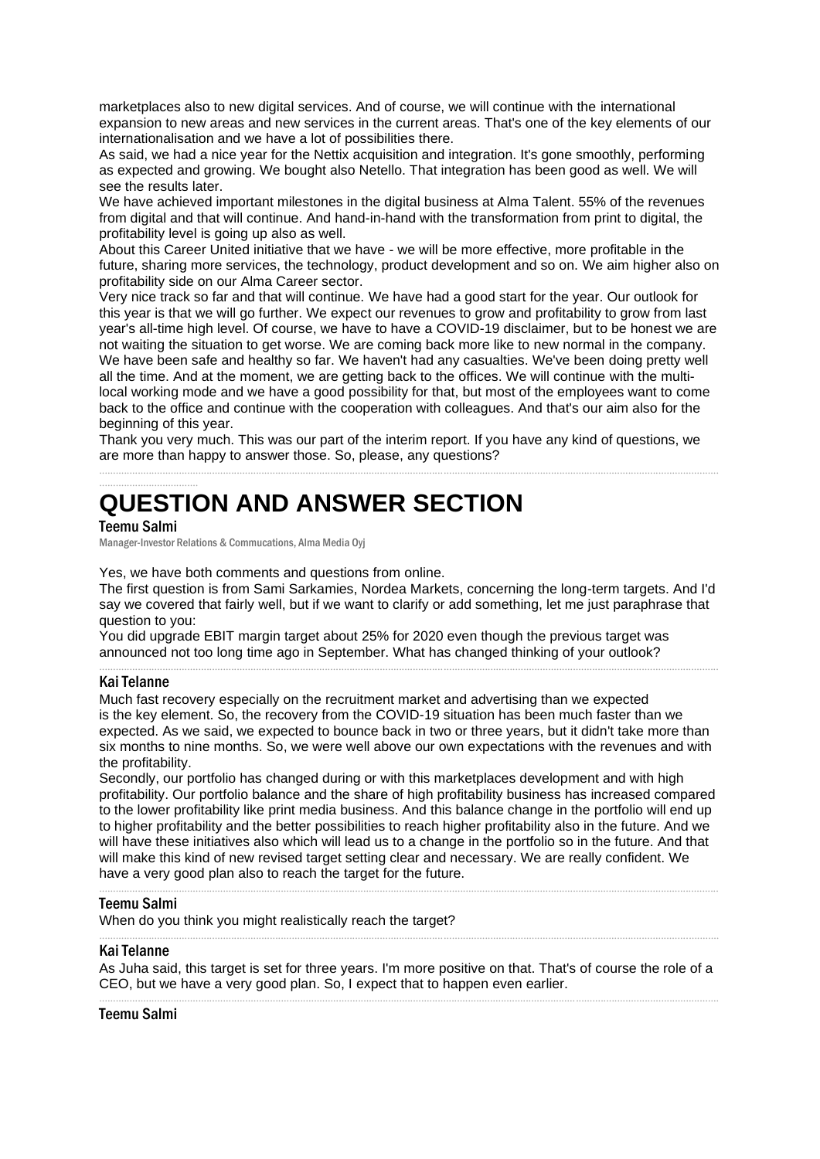marketplaces also to new digital services. And of course, we will continue with the international expansion to new areas and new services in the current areas. That's one of the key elements of our internationalisation and we have a lot of possibilities there.

As said, we had a nice year for the Nettix acquisition and integration. It's gone smoothly, performing as expected and growing. We bought also Netello. That integration has been good as well. We will see the results later.

We have achieved important milestones in the digital business at Alma Talent. 55% of the revenues from digital and that will continue. And hand-in-hand with the transformation from print to digital, the profitability level is going up also as well.

About this Career United initiative that we have - we will be more effective, more profitable in the future, sharing more services, the technology, product development and so on. We aim higher also on profitability side on our Alma Career sector.

Very nice track so far and that will continue. We have had a good start for the year. Our outlook for this year is that we will go further. We expect our revenues to grow and profitability to grow from last year's all-time high level. Of course, we have to have a COVID-19 disclaimer, but to be honest we are not waiting the situation to get worse. We are coming back more like to new normal in the company. We have been safe and healthy so far. We haven't had any casualties. We've been doing pretty well all the time. And at the moment, we are getting back to the offices. We will continue with the multilocal working mode and we have a good possibility for that, but most of the employees want to come back to the office and continue with the cooperation with colleagues. And that's our aim also for the beginning of this year.

Thank you very much. This was our part of the interim report. If you have any kind of questions, we are more than happy to answer those. So, please, any questions? .................................................................................................................................................................................................................................

# .................................... **QUESTION AND ANSWER SECTION**

# Teemu Salmi

Manager-Investor Relations & Commucations, Alma Media Oyj

Yes, we have both comments and questions from online.

The first question is from Sami Sarkamies, Nordea Markets, concerning the long-term targets. And I'd say we covered that fairly well, but if we want to clarify or add something, let me just paraphrase that question to you:

.................................................................................................................................................................................................................................

You did upgrade EBIT margin target about 25% for 2020 even though the previous target was announced not too long time ago in September. What has changed thinking of your outlook?

# Kai Telanne

Much fast recovery especially on the recruitment market and advertising than we expected is the key element. So, the recovery from the COVID-19 situation has been much faster than we expected. As we said, we expected to bounce back in two or three years, but it didn't take more than six months to nine months. So, we were well above our own expectations with the revenues and with the profitability.

Secondly, our portfolio has changed during or with this marketplaces development and with high profitability. Our portfolio balance and the share of high profitability business has increased compared to the lower profitability like print media business. And this balance change in the portfolio will end up to higher profitability and the better possibilities to reach higher profitability also in the future. And we will have these initiatives also which will lead us to a change in the portfolio so in the future. And that will make this kind of new revised target setting clear and necessary. We are really confident. We have a very good plan also to reach the target for the future.

.................................................................................................................................................................................................................................

#### Teemu Salmi

When do you think you might realistically reach the target?

#### Kai Telanne

As Juha said, this target is set for three years. I'm more positive on that. That's of course the role of a CEO, but we have a very good plan. So, I expect that to happen even earlier. .................................................................................................................................................................................................................................

.................................................................................................................................................................................................................................

#### Teemu Salmi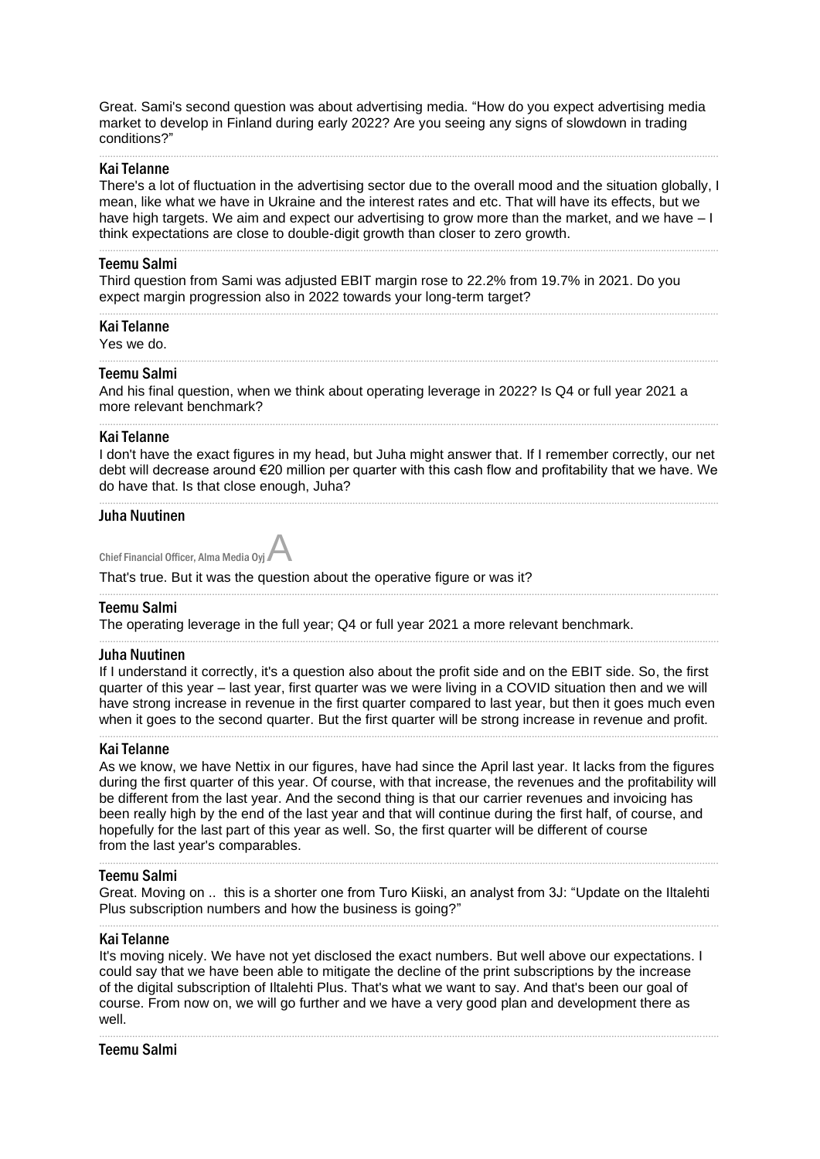Great. Sami's second question was about advertising media. "How do you expect advertising media market to develop in Finland during early 2022? Are you seeing any signs of slowdown in trading conditions?"

.................................................................................................................................................................................................................................

#### Kai Telanne

There's a lot of fluctuation in the advertising sector due to the overall mood and the situation globally, I mean, like what we have in Ukraine and the interest rates and etc. That will have its effects, but we have high targets. We aim and expect our advertising to grow more than the market, and we have - I think expectations are close to double-digit growth than closer to zero growth.

.................................................................................................................................................................................................................................

.................................................................................................................................................................................................................................

.................................................................................................................................................................................................................................

#### Teemu Salmi

Third question from Sami was adjusted EBIT margin rose to 22.2% from 19.7% in 2021. Do you expect margin progression also in 2022 towards your long-term target?

#### Kai Telanne

Yes we do.

#### Teemu Salmi

And his final question, when we think about operating leverage in 2022? Is Q4 or full year 2021 a more relevant benchmark?

#### Kai Telanne

I don't have the exact figures in my head, but Juha might answer that. If I remember correctly, our net debt will decrease around €20 million per quarter with this cash flow and profitability that we have. We do have that. Is that close enough, Juha?

.................................................................................................................................................................................................................................

.................................................................................................................................................................................................................................

.................................................................................................................................................................................................................................

.................................................................................................................................................................................................................................

#### Juha Nuutinen

| Chief Financial Officer, Alma Media Oyj. |  |  |
|------------------------------------------|--|--|

That's true. But it was the question about the operative figure or was it?

#### Teemu Salmi

The operating leverage in the full year; Q4 or full year 2021 a more relevant benchmark.

#### Juha Nuutinen

If I understand it correctly, it's a question also about the profit side and on the EBIT side. So, the first quarter of this year – last year, first quarter was we were living in a COVID situation then and we will have strong increase in revenue in the first quarter compared to last year, but then it goes much even when it goes to the second quarter. But the first quarter will be strong increase in revenue and profit.

.................................................................................................................................................................................................................................

#### Kai Telanne

As we know, we have Nettix in our figures, have had since the April last year. It lacks from the figures during the first quarter of this year. Of course, with that increase, the revenues and the profitability will be different from the last year. And the second thing is that our carrier revenues and invoicing has been really high by the end of the last year and that will continue during the first half, of course, and hopefully for the last part of this year as well. So, the first quarter will be different of course from the last year's comparables.

#### Teemu Salmi

Great. Moving on .. this is a shorter one from Turo Kiiski, an analyst from 3J: "Update on the Iltalehti Plus subscription numbers and how the business is going?" .................................................................................................................................................................................................................................

.................................................................................................................................................................................................................................

#### Kai Telanne

It's moving nicely. We have not yet disclosed the exact numbers. But well above our expectations. I could say that we have been able to mitigate the decline of the print subscriptions by the increase of the digital subscription of Iltalehti Plus. That's what we want to say. And that's been our goal of course. From now on, we will go further and we have a very good plan and development there as well.

.................................................................................................................................................................................................................................

## Teemu Salmi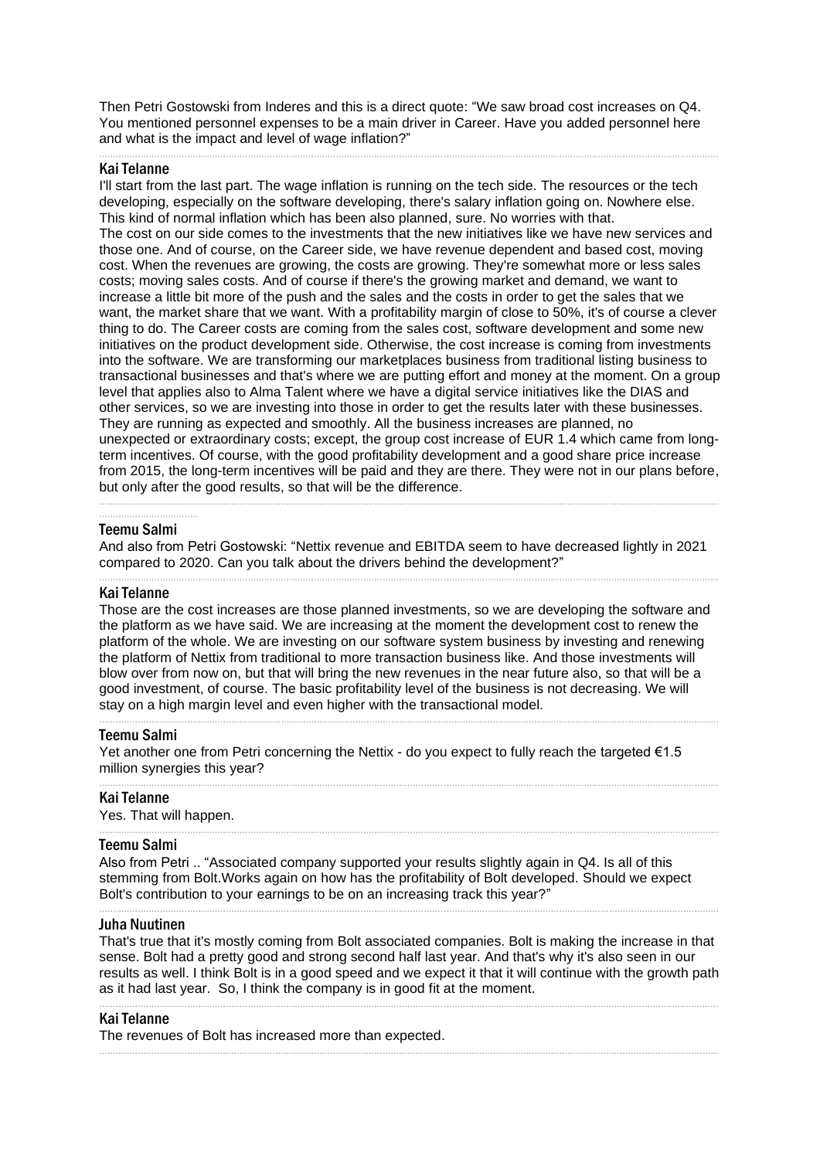Then Petri Gostowski from Inderes and this is a direct quote: "We saw broad cost increases on Q4. You mentioned personnel expenses to be a main driver in Career. Have you added personnel here and what is the impact and level of wage inflation?"

.................................................................................................................................................................................................................................

#### Kai Telanne

I'll start from the last part. The wage inflation is running on the tech side. The resources or the tech developing, especially on the software developing, there's salary inflation going on. Nowhere else. This kind of normal inflation which has been also planned, sure. No worries with that. The cost on our side comes to the investments that the new initiatives like we have new services and those one. And of course, on the Career side, we have revenue dependent and based cost, moving cost. When the revenues are growing, the costs are growing. They're somewhat more or less sales costs; moving sales costs. And of course if there's the growing market and demand, we want to increase a little bit more of the push and the sales and the costs in order to get the sales that we want, the market share that we want. With a profitability margin of close to 50%, it's of course a clever thing to do. The Career costs are coming from the sales cost, software development and some new initiatives on the product development side. Otherwise, the cost increase is coming from investments into the software. We are transforming our marketplaces business from traditional listing business to transactional businesses and that's where we are putting effort and money at the moment. On a group level that applies also to Alma Talent where we have a digital service initiatives like the DIAS and other services, so we are investing into those in order to get the results later with these businesses. They are running as expected and smoothly. All the business increases are planned, no unexpected or extraordinary costs; except, the group cost increase of EUR 1.4 which came from longterm incentives. Of course, with the good profitability development and a good share price increase from 2015, the long-term incentives will be paid and they are there. They were not in our plans before, but only after the good results, so that will be the difference. .................................................................................................................................................................................................................................

#### .................................... Teemu Salmi

And also from Petri Gostowski: "Nettix revenue and EBITDA seem to have decreased lightly in 2021 compared to 2020. Can you talk about the drivers behind the development?" .................................................................................................................................................................................................................................

#### Kai Telanne

Those are the cost increases are those planned investments, so we are developing the software and the platform as we have said. We are increasing at the moment the development cost to renew the platform of the whole. We are investing on our software system business by investing and renewing the platform of Nettix from traditional to more transaction business like. And those investments will blow over from now on, but that will bring the new revenues in the near future also, so that will be a good investment, of course. The basic profitability level of the business is not decreasing. We will stay on a high margin level and even higher with the transactional model.

.................................................................................................................................................................................................................................

.................................................................................................................................................................................................................................

.................................................................................................................................................................................................................................

#### Teemu Salmi

Yet another one from Petri concerning the Nettix - do you expect to fully reach the targeted €1.5 million synergies this year?

#### Kai Telanne

Yes. That will happen.

#### Teemu Salmi

Also from Petri .. "Associated company supported your results slightly again in Q4. Is all of this stemming from Bolt.Works again on how has the profitability of Bolt developed. Should we expect Bolt's contribution to your earnings to be on an increasing track this year?"

#### Juha Nuutinen

That's true that it's mostly coming from Bolt associated companies. Bolt is making the increase in that sense. Bolt had a pretty good and strong second half last year. And that's why it's also seen in our results as well. I think Bolt is in a good speed and we expect it that it will continue with the growth path as it had last year. So, I think the company is in good fit at the moment.

.................................................................................................................................................................................................................................

.................................................................................................................................................................................................................................

.................................................................................................................................................................................................................................

#### Kai Telanne

The revenues of Bolt has increased more than expected.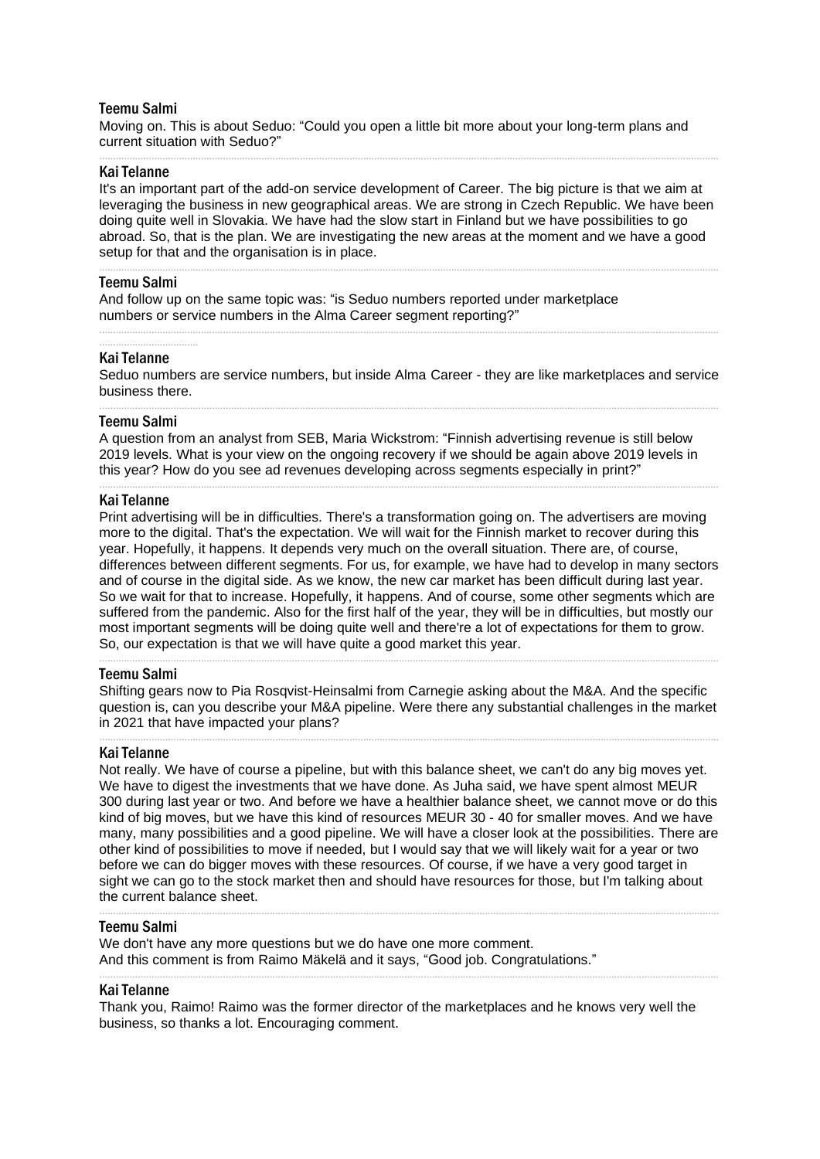#### Teemu Salmi

Moving on. This is about Seduo: "Could you open a little bit more about your long-term plans and current situation with Seduo?"

#### Kai Telanne

It's an important part of the add-on service development of Career. The big picture is that we aim at leveraging the business in new geographical areas. We are strong in Czech Republic. We have been doing quite well in Slovakia. We have had the slow start in Finland but we have possibilities to go abroad. So, that is the plan. We are investigating the new areas at the moment and we have a good setup for that and the organisation is in place.

.................................................................................................................................................................................................................................

.................................................................................................................................................................................................................................

#### Teemu Salmi

And follow up on the same topic was: "is Seduo numbers reported under marketplace numbers or service numbers in the Alma Career segment reporting?"

#### Kai Telanne

....................................

Seduo numbers are service numbers, but inside Alma Career - they are like marketplaces and service business there. .................................................................................................................................................................................................................................

.................................................................................................................................................................................................................................

#### Teemu Salmi

A question from an analyst from SEB, Maria Wickstrom: "Finnish advertising revenue is still below 2019 levels. What is your view on the ongoing recovery if we should be again above 2019 levels in this year? How do you see ad revenues developing across segments especially in print?"

.................................................................................................................................................................................................................................

#### Kai Telanne

Print advertising will be in difficulties. There's a transformation going on. The advertisers are moving more to the digital. That's the expectation. We will wait for the Finnish market to recover during this year. Hopefully, it happens. It depends very much on the overall situation. There are, of course, differences between different segments. For us, for example, we have had to develop in many sectors and of course in the digital side. As we know, the new car market has been difficult during last year. So we wait for that to increase. Hopefully, it happens. And of course, some other segments which are suffered from the pandemic. Also for the first half of the year, they will be in difficulties, but mostly our most important segments will be doing quite well and there're a lot of expectations for them to grow. So, our expectation is that we will have quite a good market this year.

#### Teemu Salmi

Shifting gears now to Pia Rosqvist-Heinsalmi from Carnegie asking about the M&A. And the specific question is, can you describe your M&A pipeline. Were there any substantial challenges in the market in 2021 that have impacted your plans?

.................................................................................................................................................................................................................................

.................................................................................................................................................................................................................................

#### Kai Telanne

Not really. We have of course a pipeline, but with this balance sheet, we can't do any big moves yet. We have to digest the investments that we have done. As Juha said, we have spent almost MEUR 300 during last year or two. And before we have a healthier balance sheet, we cannot move or do this kind of big moves, but we have this kind of resources MEUR 30 - 40 for smaller moves. And we have many, many possibilities and a good pipeline. We will have a closer look at the possibilities. There are other kind of possibilities to move if needed, but I would say that we will likely wait for a year or two before we can do bigger moves with these resources. Of course, if we have a very good target in sight we can go to the stock market then and should have resources for those, but I'm talking about the current balance sheet.

.................................................................................................................................................................................................................................

.................................................................................................................................................................................................................................

#### Teemu Salmi

We don't have any more questions but we do have one more comment. And this comment is from Raimo Mäkelä and it says, "Good job. Congratulations."

#### Kai Telanne

Thank you, Raimo! Raimo was the former director of the marketplaces and he knows very well the business, so thanks a lot. Encouraging comment.